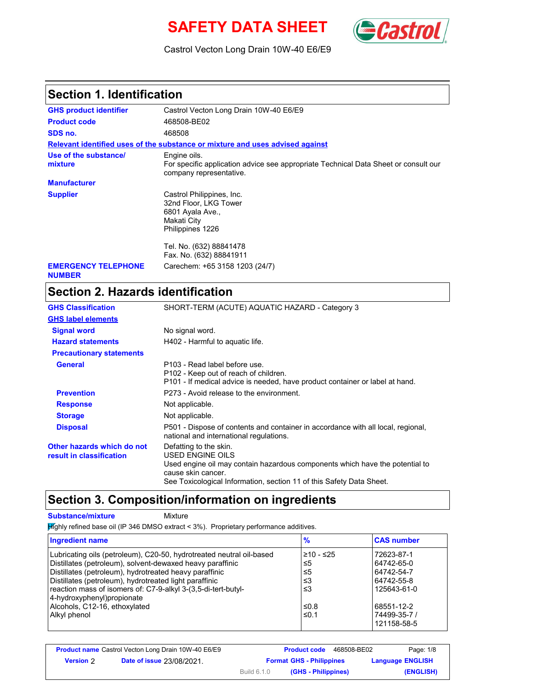# **SAFETY DATA SHEET** *Castro*



Castrol Vecton Long Drain 10W-40 E6/E9

# **Section 1. Identification**

| <b>GHS product identifier</b>               | Castrol Vecton Long Drain 10W-40 E6/E9                                                                                         |
|---------------------------------------------|--------------------------------------------------------------------------------------------------------------------------------|
| <b>Product code</b>                         | 468508-BE02                                                                                                                    |
| SDS no.                                     | 468508                                                                                                                         |
|                                             | Relevant identified uses of the substance or mixture and uses advised against                                                  |
| Use of the substance/<br>mixture            | Engine oils.<br>For specific application advice see appropriate Technical Data Sheet or consult our<br>company representative. |
| <b>Manufacturer</b>                         |                                                                                                                                |
| <b>Supplier</b>                             | Castrol Philippines, Inc.<br>32nd Floor, LKG Tower<br>6801 Ayala Ave.,<br>Makati City<br>Philippines 1226                      |
|                                             | Tel. No. (632) 88841478<br>Fax. No. (632) 88841911                                                                             |
| <b>EMERGENCY TELEPHONE</b><br><b>NUMBER</b> | Carechem: +65 3158 1203 (24/7)                                                                                                 |

# **Section 2. Hazards identification**

| <b>GHS Classification</b>                              | SHORT-TERM (ACUTE) AQUATIC HAZARD - Category 3                                                                                                                                                                                  |
|--------------------------------------------------------|---------------------------------------------------------------------------------------------------------------------------------------------------------------------------------------------------------------------------------|
| <b>GHS label elements</b>                              |                                                                                                                                                                                                                                 |
| <b>Signal word</b>                                     | No signal word.                                                                                                                                                                                                                 |
| <b>Hazard statements</b>                               | H402 - Harmful to aguatic life.                                                                                                                                                                                                 |
| <b>Precautionary statements</b>                        |                                                                                                                                                                                                                                 |
| <b>General</b>                                         | P103 - Read label before use.<br>P <sub>102</sub> - Keep out of reach of children.<br>P101 - If medical advice is needed, have product container or label at hand.                                                              |
| <b>Prevention</b>                                      | P273 - Avoid release to the environment.                                                                                                                                                                                        |
| <b>Response</b>                                        | Not applicable.                                                                                                                                                                                                                 |
| <b>Storage</b>                                         | Not applicable.                                                                                                                                                                                                                 |
| <b>Disposal</b>                                        | P501 - Dispose of contents and container in accordance with all local, regional,<br>national and international regulations.                                                                                                     |
| Other hazards which do not<br>result in classification | Defatting to the skin.<br><b>USED ENGINE OILS</b><br>Used engine oil may contain hazardous components which have the potential to<br>cause skin cancer.<br>See Toxicological Information, section 11 of this Safety Data Sheet. |

# **Section 3. Composition/information on ingredients**

#### **Substance/mixture Mixture**

 $H$ ghly refined base oil (IP 346 DMSO extract < 3%). Proprietary performance additives.

| <b>Ingredient name</b>                                                                                                                                                                                                                                                                                                                                                                 | $\frac{9}{6}$                             | <b>CAS number</b>                                                                 |
|----------------------------------------------------------------------------------------------------------------------------------------------------------------------------------------------------------------------------------------------------------------------------------------------------------------------------------------------------------------------------------------|-------------------------------------------|-----------------------------------------------------------------------------------|
| Lubricating oils (petroleum), C20-50, hydrotreated neutral oil-based<br>Distillates (petroleum), solvent-dewaxed heavy paraffinic<br>Distillates (petroleum), hydrotreated heavy paraffinic<br>Distillates (petroleum), hydrotreated light paraffinic<br>reaction mass of isomers of: C7-9-alkyl 3-(3,5-di-tert-butyl-<br>4-hydroxyphenyl) propionate<br>Alcohols, C12-16, ethoxylated | 210 - ≤25<br>≤5<br>≤5<br>≤3<br>≤3<br>≤0.8 | 72623-87-1<br>64742-65-0<br>64742-54-7<br>64742-55-8<br>125643-61-0<br>68551-12-2 |
| Alkyl phenol                                                                                                                                                                                                                                                                                                                                                                           | $\leq 0.1$                                | 74499-35-7 /<br>121158-58-5                                                       |

|           | <b>Product name</b> Castrol Vecton Long Drain 10W-40 E6/E9 |             | <b>Product code</b>             | 468508-BE02 | Page: 1/8               |
|-----------|------------------------------------------------------------|-------------|---------------------------------|-------------|-------------------------|
| Version 2 | <b>Date of issue 23/08/2021.</b>                           |             | <b>Format GHS - Philippines</b> |             | <b>Language ENGLISH</b> |
|           |                                                            | Build 6.1.0 | (GHS - Philippines)             |             | (ENGLISH)               |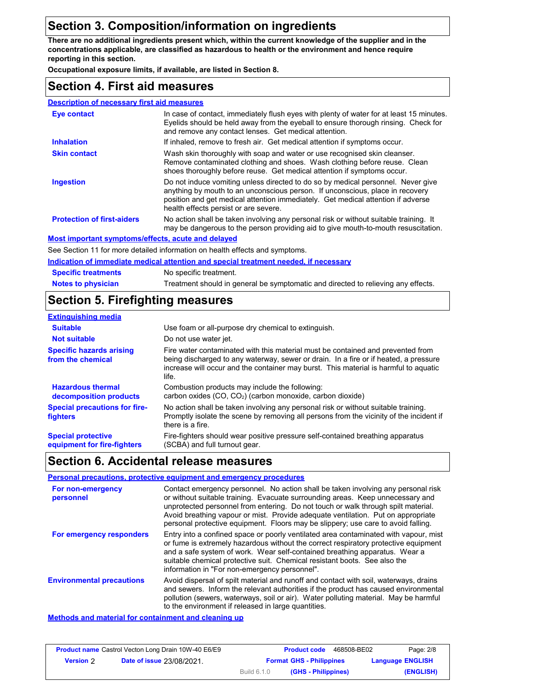# **Section 3. Composition/information on ingredients**

**There are no additional ingredients present which, within the current knowledge of the supplier and in the concentrations applicable, are classified as hazardous to health or the environment and hence require reporting in this section.**

**Occupational exposure limits, if available, are listed in Section 8.**

#### **Section 4. First aid measures**

| <b>Description of necessary first aid measures</b> |                                                                                                                                                                                                                                                                                                |
|----------------------------------------------------|------------------------------------------------------------------------------------------------------------------------------------------------------------------------------------------------------------------------------------------------------------------------------------------------|
| <b>Eye contact</b>                                 | In case of contact, immediately flush eyes with plenty of water for at least 15 minutes.<br>Eyelids should be held away from the eyeball to ensure thorough rinsing. Check for<br>and remove any contact lenses. Get medical attention.                                                        |
| <b>Inhalation</b>                                  | If inhaled, remove to fresh air. Get medical attention if symptoms occur.                                                                                                                                                                                                                      |
| <b>Skin contact</b>                                | Wash skin thoroughly with soap and water or use recognised skin cleanser.<br>Remove contaminated clothing and shoes. Wash clothing before reuse. Clean<br>shoes thoroughly before reuse. Get medical attention if symptoms occur.                                                              |
| <b>Ingestion</b>                                   | Do not induce vomiting unless directed to do so by medical personnel. Never give<br>anything by mouth to an unconscious person. If unconscious, place in recovery<br>position and get medical attention immediately. Get medical attention if adverse<br>health effects persist or are severe. |
| <b>Protection of first-aiders</b>                  | No action shall be taken involving any personal risk or without suitable training. It<br>may be dangerous to the person providing aid to give mouth-to-mouth resuscitation.                                                                                                                    |
| Most important symptoms/effects, acute and delayed |                                                                                                                                                                                                                                                                                                |
|                                                    | See Section 11 for more detailed information on health effects and symptoms.                                                                                                                                                                                                                   |
|                                                    | indication of immediate medical attention and anogial tractment needed. if necessary                                                                                                                                                                                                           |

#### **Indication of immediate medical attention and special treatment needed, if necessary**

| <b>Notes to physician</b>  | Treatment should in general be symptomatic and directed to relieving any effects. |
|----------------------------|-----------------------------------------------------------------------------------|
| <b>Specific treatments</b> | No specific treatment.                                                            |

# **Section 5. Firefighting measures**

| <b>Extinguishing media</b>                               |                                                                                                                                                                                                                                                                          |
|----------------------------------------------------------|--------------------------------------------------------------------------------------------------------------------------------------------------------------------------------------------------------------------------------------------------------------------------|
| <b>Suitable</b>                                          | Use foam or all-purpose dry chemical to extinguish.                                                                                                                                                                                                                      |
| <b>Not suitable</b>                                      | Do not use water jet.                                                                                                                                                                                                                                                    |
| <b>Specific hazards arising</b><br>from the chemical     | Fire water contaminated with this material must be contained and prevented from<br>being discharged to any waterway, sewer or drain. In a fire or if heated, a pressure<br>increase will occur and the container may burst. This material is harmful to aguatic<br>life. |
| <b>Hazardous thermal</b><br>decomposition products       | Combustion products may include the following:<br>carbon oxides (CO, CO <sub>2</sub> ) (carbon monoxide, carbon dioxide)                                                                                                                                                 |
| <b>Special precautions for fire-</b><br>fighters         | No action shall be taken involving any personal risk or without suitable training.<br>Promptly isolate the scene by removing all persons from the vicinity of the incident if<br>there is a fire.                                                                        |
| <b>Special protective</b><br>equipment for fire-fighters | Fire-fighters should wear positive pressure self-contained breathing apparatus<br>(SCBA) and full turnout gear.                                                                                                                                                          |

### **Section 6. Accidental release measures**

| Contact emergency personnel. No action shall be taken involving any personal risk<br>For non-emergency<br>or without suitable training. Evacuate surrounding areas. Keep unnecessary and<br>personnel<br>unprotected personnel from entering. Do not touch or walk through spilt material.<br>Avoid breathing vapour or mist. Provide adequate ventilation. Put on appropriate<br>personal protective equipment. Floors may be slippery; use care to avoid falling.<br>For emergency responders<br>Entry into a confined space or poorly ventilated area contaminated with vapour, mist<br>or fume is extremely hazardous without the correct respiratory protective equipment<br>and a safe system of work. Wear self-contained breathing apparatus. Wear a<br>suitable chemical protective suit. Chemical resistant boots. See also the<br>information in "For non-emergency personnel".<br><b>Environmental precautions</b><br>Avoid dispersal of spilt material and runoff and contact with soil, waterways, drains<br>and sewers. Inform the relevant authorities if the product has caused environmental<br>pollution (sewers, waterways, soil or air). Water polluting material. May be harmful | Personal precautions, protective equipment and emergency procedures |
|--------------------------------------------------------------------------------------------------------------------------------------------------------------------------------------------------------------------------------------------------------------------------------------------------------------------------------------------------------------------------------------------------------------------------------------------------------------------------------------------------------------------------------------------------------------------------------------------------------------------------------------------------------------------------------------------------------------------------------------------------------------------------------------------------------------------------------------------------------------------------------------------------------------------------------------------------------------------------------------------------------------------------------------------------------------------------------------------------------------------------------------------------------------------------------------------------------|---------------------------------------------------------------------|
|                                                                                                                                                                                                                                                                                                                                                                                                                                                                                                                                                                                                                                                                                                                                                                                                                                                                                                                                                                                                                                                                                                                                                                                                        |                                                                     |
|                                                                                                                                                                                                                                                                                                                                                                                                                                                                                                                                                                                                                                                                                                                                                                                                                                                                                                                                                                                                                                                                                                                                                                                                        |                                                                     |
|                                                                                                                                                                                                                                                                                                                                                                                                                                                                                                                                                                                                                                                                                                                                                                                                                                                                                                                                                                                                                                                                                                                                                                                                        | to the environment if released in large quantities.                 |

**Methods and material for containment and cleaning up**

|                  | <b>Product name</b> Castrol Vecton Long Drain 10W-40 E6/E9 |                    | <b>Product code</b><br>468508-BE02 | Page: 2/8               |
|------------------|------------------------------------------------------------|--------------------|------------------------------------|-------------------------|
| <b>Version</b> 2 | <b>Date of issue 23/08/2021.</b>                           |                    | <b>Format GHS - Philippines</b>    | <b>Language ENGLISH</b> |
|                  |                                                            | <b>Build 6.1.0</b> | (GHS - Philippines)                | (ENGLISH)               |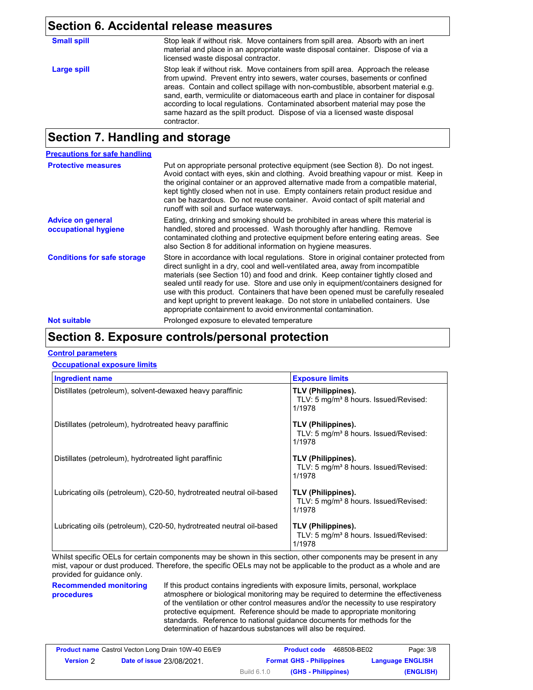### **Section 6. Accidental release measures**

| <b>Small spill</b> | Stop leak if without risk. Move containers from spill area. Absorb with an inert<br>material and place in an appropriate waste disposal container. Dispose of via a<br>licensed waste disposal contractor.                                                                                                                                                                                                                                                                                                               |
|--------------------|--------------------------------------------------------------------------------------------------------------------------------------------------------------------------------------------------------------------------------------------------------------------------------------------------------------------------------------------------------------------------------------------------------------------------------------------------------------------------------------------------------------------------|
| Large spill        | Stop leak if without risk. Move containers from spill area. Approach the release<br>from upwind. Prevent entry into sewers, water courses, basements or confined<br>areas. Contain and collect spillage with non-combustible, absorbent material e.g.<br>sand, earth, vermiculite or diatomaceous earth and place in container for disposal<br>according to local regulations. Contaminated absorbent material may pose the<br>same hazard as the spilt product. Dispose of via a licensed waste disposal<br>contractor. |
|                    |                                                                                                                                                                                                                                                                                                                                                                                                                                                                                                                          |

# **Section 7. Handling and storage**

| <b>Precautions for safe handling</b>             |                                                                                                                                                                                                                                                                                                                                                                                                                                                                                                                                                                                                |
|--------------------------------------------------|------------------------------------------------------------------------------------------------------------------------------------------------------------------------------------------------------------------------------------------------------------------------------------------------------------------------------------------------------------------------------------------------------------------------------------------------------------------------------------------------------------------------------------------------------------------------------------------------|
| <b>Protective measures</b>                       | Put on appropriate personal protective equipment (see Section 8). Do not ingest.<br>Avoid contact with eyes, skin and clothing. Avoid breathing vapour or mist. Keep in<br>the original container or an approved alternative made from a compatible material.<br>kept tightly closed when not in use. Empty containers retain product residue and<br>can be hazardous. Do not reuse container. Avoid contact of spilt material and<br>runoff with soil and surface waterways.                                                                                                                  |
| <b>Advice on general</b><br>occupational hygiene | Eating, drinking and smoking should be prohibited in areas where this material is<br>handled, stored and processed. Wash thoroughly after handling. Remove<br>contaminated clothing and protective equipment before entering eating areas. See<br>also Section 8 for additional information on hygiene measures.                                                                                                                                                                                                                                                                               |
| <b>Conditions for safe storage</b>               | Store in accordance with local regulations. Store in original container protected from<br>direct sunlight in a dry, cool and well-ventilated area, away from incompatible<br>materials (see Section 10) and food and drink. Keep container tightly closed and<br>sealed until ready for use. Store and use only in equipment/containers designed for<br>use with this product. Containers that have been opened must be carefully resealed<br>and kept upright to prevent leakage. Do not store in unlabelled containers. Use<br>appropriate containment to avoid environmental contamination. |
| <b>Not suitable</b>                              | Prolonged exposure to elevated temperature                                                                                                                                                                                                                                                                                                                                                                                                                                                                                                                                                     |

### **Section 8. Exposure controls/personal protection**

#### **Control parameters**

#### **Occupational exposure limits**

| <b>Ingredient name</b>                                               | <b>Exposure limits</b>                                                            |
|----------------------------------------------------------------------|-----------------------------------------------------------------------------------|
| Distillates (petroleum), solvent-dewaxed heavy paraffinic            | TLV (Philippines).<br>TLV: 5 mg/m <sup>3</sup> 8 hours. Issued/Revised:<br>1/1978 |
| Distillates (petroleum), hydrotreated heavy paraffinic               | TLV (Philippines).<br>TLV: 5 mg/m <sup>3</sup> 8 hours. Issued/Revised:<br>1/1978 |
| Distillates (petroleum), hydrotreated light paraffinic               | TLV (Philippines).<br>TLV: 5 mg/m <sup>3</sup> 8 hours. Issued/Revised:<br>1/1978 |
| Lubricating oils (petroleum), C20-50, hydrotreated neutral oil-based | TLV (Philippines).<br>TLV: 5 mg/m <sup>3</sup> 8 hours. Issued/Revised:<br>1/1978 |
| Lubricating oils (petroleum), C20-50, hydrotreated neutral oil-based | TLV (Philippines).<br>TLV: 5 mg/m <sup>3</sup> 8 hours. Issued/Revised:<br>1/1978 |

Whilst specific OELs for certain components may be shown in this section, other components may be present in any mist, vapour or dust produced. Therefore, the specific OELs may not be applicable to the product as a whole and are provided for guidance only.

**Recommended monitoring procedures**

If this product contains ingredients with exposure limits, personal, workplace atmosphere or biological monitoring may be required to determine the effectiveness of the ventilation or other control measures and/or the necessity to use respiratory protective equipment. Reference should be made to appropriate monitoring standards. Reference to national guidance documents for methods for the determination of hazardous substances will also be required.

| <b>Product name</b> Castrol Vecton Long Drain 10W-40 E6/E9 |                                  |             | <b>Product code</b><br>468508-BE02 | Page: 3/8               |
|------------------------------------------------------------|----------------------------------|-------------|------------------------------------|-------------------------|
| <b>Version</b> 2                                           | <b>Date of issue 23/08/2021.</b> |             | <b>Format GHS - Philippines</b>    | <b>Language ENGLISH</b> |
|                                                            |                                  | Build 6.1.0 | (GHS - Philippines)                | (ENGLISH)               |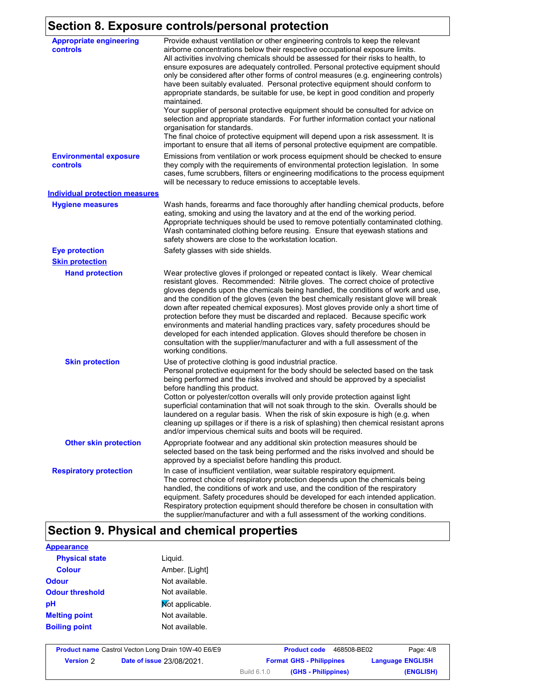# **Section 8. Exposure controls/personal protection**

| <b>Appropriate engineering</b><br>controls | Provide exhaust ventilation or other engineering controls to keep the relevant<br>airborne concentrations below their respective occupational exposure limits.<br>All activities involving chemicals should be assessed for their risks to health, to<br>ensure exposures are adequately controlled. Personal protective equipment should<br>only be considered after other forms of control measures (e.g. engineering controls)<br>have been suitably evaluated. Personal protective equipment should conform to<br>appropriate standards, be suitable for use, be kept in good condition and properly<br>maintained.<br>Your supplier of personal protective equipment should be consulted for advice on<br>selection and appropriate standards. For further information contact your national<br>organisation for standards.<br>The final choice of protective equipment will depend upon a risk assessment. It is<br>important to ensure that all items of personal protective equipment are compatible. |
|--------------------------------------------|---------------------------------------------------------------------------------------------------------------------------------------------------------------------------------------------------------------------------------------------------------------------------------------------------------------------------------------------------------------------------------------------------------------------------------------------------------------------------------------------------------------------------------------------------------------------------------------------------------------------------------------------------------------------------------------------------------------------------------------------------------------------------------------------------------------------------------------------------------------------------------------------------------------------------------------------------------------------------------------------------------------|
| <b>Environmental exposure</b><br>controls  | Emissions from ventilation or work process equipment should be checked to ensure<br>they comply with the requirements of environmental protection legislation. In some<br>cases, fume scrubbers, filters or engineering modifications to the process equipment<br>will be necessary to reduce emissions to acceptable levels.                                                                                                                                                                                                                                                                                                                                                                                                                                                                                                                                                                                                                                                                                 |
| <b>Individual protection measures</b>      |                                                                                                                                                                                                                                                                                                                                                                                                                                                                                                                                                                                                                                                                                                                                                                                                                                                                                                                                                                                                               |
| <b>Hygiene measures</b>                    | Wash hands, forearms and face thoroughly after handling chemical products, before<br>eating, smoking and using the lavatory and at the end of the working period.<br>Appropriate techniques should be used to remove potentially contaminated clothing.<br>Wash contaminated clothing before reusing. Ensure that eyewash stations and<br>safety showers are close to the workstation location.                                                                                                                                                                                                                                                                                                                                                                                                                                                                                                                                                                                                               |
| <b>Eye protection</b>                      | Safety glasses with side shields.                                                                                                                                                                                                                                                                                                                                                                                                                                                                                                                                                                                                                                                                                                                                                                                                                                                                                                                                                                             |
| <b>Skin protection</b>                     |                                                                                                                                                                                                                                                                                                                                                                                                                                                                                                                                                                                                                                                                                                                                                                                                                                                                                                                                                                                                               |
| <b>Hand protection</b>                     | Wear protective gloves if prolonged or repeated contact is likely. Wear chemical<br>resistant gloves. Recommended: Nitrile gloves. The correct choice of protective<br>gloves depends upon the chemicals being handled, the conditions of work and use,<br>and the condition of the gloves (even the best chemically resistant glove will break<br>down after repeated chemical exposures). Most gloves provide only a short time of<br>protection before they must be discarded and replaced. Because specific work<br>environments and material handling practices vary, safety procedures should be<br>developed for each intended application. Gloves should therefore be chosen in<br>consultation with the supplier/manufacturer and with a full assessment of the<br>working conditions.                                                                                                                                                                                                               |
| <b>Skin protection</b>                     | Use of protective clothing is good industrial practice.<br>Personal protective equipment for the body should be selected based on the task<br>being performed and the risks involved and should be approved by a specialist<br>before handling this product.<br>Cotton or polyester/cotton overalls will only provide protection against light<br>superficial contamination that will not soak through to the skin. Overalls should be<br>laundered on a regular basis. When the risk of skin exposure is high (e.g. when<br>cleaning up spillages or if there is a risk of splashing) then chemical resistant aprons<br>and/or impervious chemical suits and boots will be required.                                                                                                                                                                                                                                                                                                                         |
| <b>Other skin protection</b>               | Appropriate footwear and any additional skin protection measures should be<br>selected based on the task being performed and the risks involved and should be<br>approved by a specialist before handling this product.                                                                                                                                                                                                                                                                                                                                                                                                                                                                                                                                                                                                                                                                                                                                                                                       |
| <b>Respiratory protection</b>              | In case of insufficient ventilation, wear suitable respiratory equipment.<br>The correct choice of respiratory protection depends upon the chemicals being<br>handled, the conditions of work and use, and the condition of the respiratory<br>equipment. Safety procedures should be developed for each intended application.<br>Respiratory protection equipment should therefore be chosen in consultation with<br>the supplier/manufacturer and with a full assessment of the working conditions.                                                                                                                                                                                                                                                                                                                                                                                                                                                                                                         |

# **Section 9. Physical and chemical properties**

| <b>Appearance</b>      |                 |
|------------------------|-----------------|
| <b>Physical state</b>  | Liguid.         |
| <b>Colour</b>          | Amber. [Light]  |
| <b>Odour</b>           | Not available.  |
| <b>Odour threshold</b> | Not available.  |
| pH                     | Mot applicable. |
| <b>Melting point</b>   | Not available.  |
| <b>Boiling point</b>   | Not available.  |

| <b>Product name</b> Castrol Vecton Long Drain 10W-40 E6/E9 |                                  |                    | 468508-BE02<br><b>Product code</b> | Page: 4/8               |
|------------------------------------------------------------|----------------------------------|--------------------|------------------------------------|-------------------------|
| <b>Version 2</b>                                           | <b>Date of issue 23/08/2021.</b> |                    | <b>Format GHS - Philippines</b>    | <b>Language ENGLISH</b> |
|                                                            |                                  | <b>Build 6.1.0</b> | (GHS - Philippines)                | (ENGLISH)               |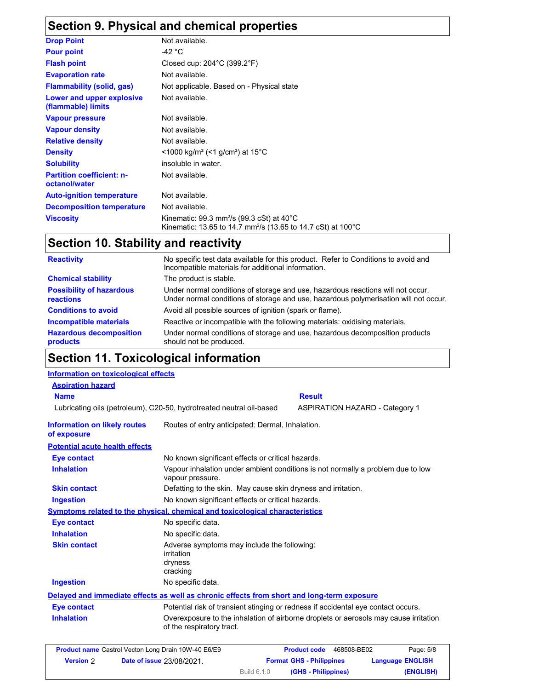# **Section 9. Physical and chemical properties**

| <b>Drop Point</b>                                 | Not available.                                                                                                                               |
|---------------------------------------------------|----------------------------------------------------------------------------------------------------------------------------------------------|
| <b>Pour point</b>                                 | -42 $^{\circ}$ C                                                                                                                             |
| <b>Flash point</b>                                | Closed cup: $204^{\circ}$ C (399.2 $^{\circ}$ F)                                                                                             |
| <b>Evaporation rate</b>                           | Not available.                                                                                                                               |
| <b>Flammability (solid, gas)</b>                  | Not applicable. Based on - Physical state                                                                                                    |
| Lower and upper explosive<br>(flammable) limits   | Not available.                                                                                                                               |
| <b>Vapour pressure</b>                            | Not available.                                                                                                                               |
| <b>Vapour density</b>                             | Not available.                                                                                                                               |
| <b>Relative density</b>                           | Not available.                                                                                                                               |
| <b>Density</b>                                    | $\leq$ 1000 kg/m <sup>3</sup> (<1 g/cm <sup>3</sup> ) at 15 <sup>°</sup> C                                                                   |
| <b>Solubility</b>                                 | insoluble in water.                                                                                                                          |
| <b>Partition coefficient: n-</b><br>octanol/water | Not available.                                                                                                                               |
| <b>Auto-ignition temperature</b>                  | Not available.                                                                                                                               |
| <b>Decomposition temperature</b>                  | Not available.                                                                                                                               |
| <b>Viscosity</b>                                  | Kinematic: 99.3 mm <sup>2</sup> /s (99.3 cSt) at $40^{\circ}$ C<br>Kinematic: 13.65 to 14.7 mm <sup>2</sup> /s (13.65 to 14.7 cSt) at 100 °C |

# **Section 10. Stability and reactivity**

| <b>Reactivity</b>                                   | No specific test data available for this product. Refer to Conditions to avoid and<br>Incompatible materials for additional information.                                |
|-----------------------------------------------------|-------------------------------------------------------------------------------------------------------------------------------------------------------------------------|
| <b>Chemical stability</b>                           | The product is stable.                                                                                                                                                  |
| <b>Possibility of hazardous</b><br><b>reactions</b> | Under normal conditions of storage and use, hazardous reactions will not occur.<br>Under normal conditions of storage and use, hazardous polymerisation will not occur. |
| <b>Conditions to avoid</b>                          | Avoid all possible sources of ignition (spark or flame).                                                                                                                |
| <b>Incompatible materials</b>                       | Reactive or incompatible with the following materials: oxidising materials.                                                                                             |
| <b>Hazardous decomposition</b><br>products          | Under normal conditions of storage and use, hazardous decomposition products<br>should not be produced.                                                                 |
|                                                     |                                                                                                                                                                         |

# **Section 11. Toxicological information**

| Information on toxicological effects                                  |                                                                                            |                                                                                      |  |  |  |
|-----------------------------------------------------------------------|--------------------------------------------------------------------------------------------|--------------------------------------------------------------------------------------|--|--|--|
| <b>Aspiration hazard</b>                                              |                                                                                            |                                                                                      |  |  |  |
| <b>Name</b>                                                           |                                                                                            | <b>Result</b>                                                                        |  |  |  |
|                                                                       | Lubricating oils (petroleum), C20-50, hydrotreated neutral oil-based                       | <b>ASPIRATION HAZARD - Category 1</b>                                                |  |  |  |
| <b>Information on likely routes</b><br>of exposure                    | Routes of entry anticipated: Dermal, Inhalation.                                           |                                                                                      |  |  |  |
| <b>Potential acute health effects</b>                                 |                                                                                            |                                                                                      |  |  |  |
| <b>Eye contact</b>                                                    | No known significant effects or critical hazards.                                          |                                                                                      |  |  |  |
| <b>Inhalation</b>                                                     | vapour pressure.                                                                           | Vapour inhalation under ambient conditions is not normally a problem due to low      |  |  |  |
| <b>Skin contact</b>                                                   | Defatting to the skin. May cause skin dryness and irritation.                              |                                                                                      |  |  |  |
| No known significant effects or critical hazards.<br><b>Ingestion</b> |                                                                                            |                                                                                      |  |  |  |
|                                                                       | Symptoms related to the physical, chemical and toxicological characteristics               |                                                                                      |  |  |  |
| <b>Eye contact</b>                                                    | No specific data.                                                                          |                                                                                      |  |  |  |
| <b>Inhalation</b>                                                     | No specific data.                                                                          |                                                                                      |  |  |  |
| <b>Skin contact</b>                                                   | Adverse symptoms may include the following:<br>irritation<br>dryness<br>cracking           |                                                                                      |  |  |  |
| <b>Ingestion</b>                                                      | No specific data.                                                                          |                                                                                      |  |  |  |
|                                                                       | Delayed and immediate effects as well as chronic effects from short and long-term exposure |                                                                                      |  |  |  |
| <b>Eye contact</b>                                                    |                                                                                            | Potential risk of transient stinging or redness if accidental eye contact occurs.    |  |  |  |
| <b>Inhalation</b>                                                     | of the respiratory tract.                                                                  | Overexposure to the inhalation of airborne droplets or aerosols may cause irritation |  |  |  |
| Product name Castrol Vecton Long Drain 10W-40 E6/E9                   |                                                                                            | <b>Product code</b><br>468508-BE02<br>Page: 5/8                                      |  |  |  |
|                                                                       | <b>B</b> -4- - El----- 00/00/0004                                                          | <b>Process AUA BEBROSSES AND ARRAIGNMENT</b><br><b>PALOL IOLL</b>                    |  |  |  |

| <b>Version 2</b> | <b>Date of issue 23/08/2021.</b> | <b>Format GHS - Philippines</b> |                     | <b>Language ENGLISH</b> |
|------------------|----------------------------------|---------------------------------|---------------------|-------------------------|
|                  |                                  | Build 6.1.0                     | (GHS - Philippines) | (ENGLISH)               |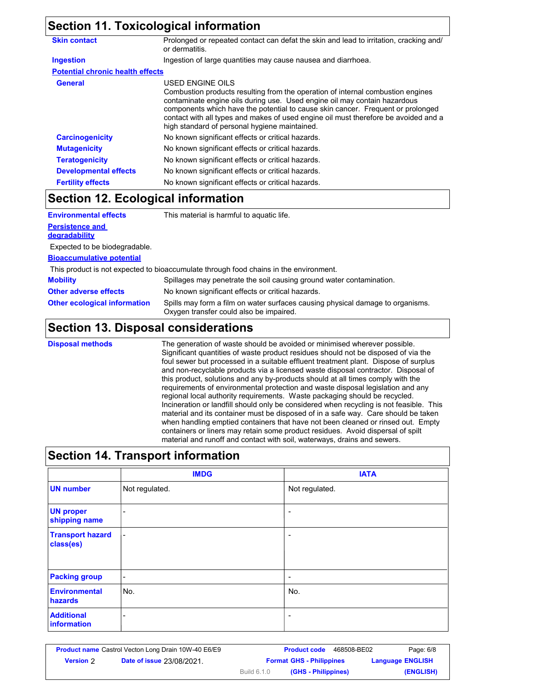# **Section 11. Toxicological information**

| <b>Skin contact</b>                                                                                                                                                                                                                                                                                                                                                                                                           | Prolonged or repeated contact can defat the skin and lead to irritation, cracking and/<br>or dermatitis. |
|-------------------------------------------------------------------------------------------------------------------------------------------------------------------------------------------------------------------------------------------------------------------------------------------------------------------------------------------------------------------------------------------------------------------------------|----------------------------------------------------------------------------------------------------------|
| <b>Ingestion</b>                                                                                                                                                                                                                                                                                                                                                                                                              | Ingestion of large quantities may cause nausea and diarrhoea.                                            |
| <b>Potential chronic health effects</b>                                                                                                                                                                                                                                                                                                                                                                                       |                                                                                                          |
| USED ENGINE OILS<br><b>General</b><br>Combustion products resulting from the operation of internal combustion engines<br>contaminate engine oils during use. Used engine oil may contain hazardous<br>components which have the potential to cause skin cancer. Frequent or prolonged<br>contact with all types and makes of used engine oil must therefore be avoided and a<br>high standard of personal hygiene maintained. |                                                                                                          |
| <b>Carcinogenicity</b>                                                                                                                                                                                                                                                                                                                                                                                                        | No known significant effects or critical hazards.                                                        |
| <b>Mutagenicity</b>                                                                                                                                                                                                                                                                                                                                                                                                           | No known significant effects or critical hazards.                                                        |
| <b>Teratogenicity</b>                                                                                                                                                                                                                                                                                                                                                                                                         | No known significant effects or critical hazards.                                                        |
| <b>Developmental effects</b>                                                                                                                                                                                                                                                                                                                                                                                                  | No known significant effects or critical hazards.                                                        |
| <b>Fertility effects</b>                                                                                                                                                                                                                                                                                                                                                                                                      | No known significant effects or critical hazards.                                                        |
|                                                                                                                                                                                                                                                                                                                                                                                                                               |                                                                                                          |

### **Section 12. Ecological information**

| <b>Environmental effects</b>            | This material is harmful to aquatic life.                                                                                 |
|-----------------------------------------|---------------------------------------------------------------------------------------------------------------------------|
| <b>Persistence and</b><br>degradability |                                                                                                                           |
| Expected to be biodegradable.           |                                                                                                                           |
| <b>Bioaccumulative potential</b>        |                                                                                                                           |
|                                         | This product is not expected to bioaccumulate through food chains in the environment.                                     |
| <b>Mobility</b>                         | Spillages may penetrate the soil causing ground water contamination.                                                      |
| <b>Other adverse effects</b>            | No known significant effects or critical hazards.                                                                         |
| <b>Other ecological information</b>     | Spills may form a film on water surfaces causing physical damage to organisms.<br>Oxygen transfer could also be impaired. |

## **Section 13. Disposal considerations**

**Disposal methods** The generation of waste should be avoided or minimised wherever possible. Significant quantities of waste product residues should not be disposed of via the foul sewer but processed in a suitable effluent treatment plant. Dispose of surplus and non-recyclable products via a licensed waste disposal contractor. Disposal of this product, solutions and any by-products should at all times comply with the requirements of environmental protection and waste disposal legislation and any regional local authority requirements. Waste packaging should be recycled. Incineration or landfill should only be considered when recycling is not feasible. This material and its container must be disposed of in a safe way. Care should be taken when handling emptied containers that have not been cleaned or rinsed out. Empty containers or liners may retain some product residues. Avoid dispersal of spilt material and runoff and contact with soil, waterways, drains and sewers.

## **Section 14. Transport information**

|                                      | <b>IMDG</b>              | <b>IATA</b>              |
|--------------------------------------|--------------------------|--------------------------|
| <b>UN number</b>                     | Not regulated.           | Not regulated.           |
| <b>UN proper</b><br>shipping name    | ۰                        | $\overline{\phantom{a}}$ |
| <b>Transport hazard</b><br>class(es) | $\overline{\phantom{a}}$ | $\overline{\phantom{0}}$ |
| <b>Packing group</b>                 | $\overline{\phantom{a}}$ | ۰                        |
| <b>Environmental</b><br>hazards      | No.                      | No.                      |
| <b>Additional</b><br>information     | ۰                        | ٠                        |

|                  | <b>Product name</b> Castrol Vecton Long Drain 10W-40 E6/E9 |                    | <b>Product code</b><br>468508-BE02 | Page: 6/8               |
|------------------|------------------------------------------------------------|--------------------|------------------------------------|-------------------------|
| <b>Version</b> 2 | <b>Date of issue 23/08/2021.</b>                           |                    | <b>Format GHS - Philippines</b>    | <b>Language ENGLISH</b> |
|                  |                                                            | <b>Build 6.1.0</b> | (GHS - Philippines)                | (ENGLISH)               |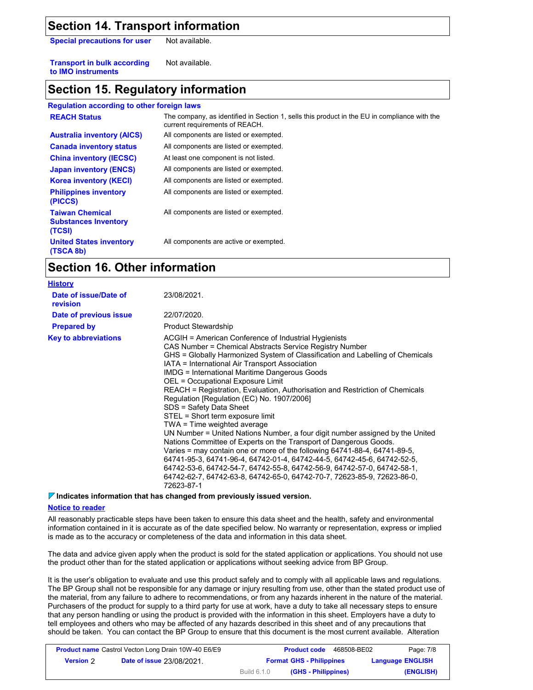### **Section 14. Transport information**

**Special precautions for user** Not available.

**Transport in bulk according to IMO instruments** Not available.

### **Section 15. Regulatory information**

#### **Regulation according to other foreign laws** All components are active or exempted. All components are listed or exempted. All components are listed or exempted. At least one component is not listed. All components are listed or exempted. All components are listed or exempted. All components are listed or exempted. **United States inventory (TSCA 8b) Philippines inventory (PICCS) China inventory (IECSC) Canada inventory status Australia inventory (AICS) Korea inventory (KECI) Japan inventory (ENCS) REACH Status** The company, as identified in Section 1, sells this product in the EU in compliance with the current requirements of REACH. **Taiwan Chemical Substances Inventory (TCSI)** All components are listed or exempted.

# **Section 16. Other information**

| <b>History</b>                           |                                                                                                                                                                                                                                                                                                                                                                                                                                                                                                                                                                                                                                                                                                                                                                                                                                                                                                                                                                                                                                                               |
|------------------------------------------|---------------------------------------------------------------------------------------------------------------------------------------------------------------------------------------------------------------------------------------------------------------------------------------------------------------------------------------------------------------------------------------------------------------------------------------------------------------------------------------------------------------------------------------------------------------------------------------------------------------------------------------------------------------------------------------------------------------------------------------------------------------------------------------------------------------------------------------------------------------------------------------------------------------------------------------------------------------------------------------------------------------------------------------------------------------|
| Date of issue/Date of<br><b>revision</b> | 23/08/2021.                                                                                                                                                                                                                                                                                                                                                                                                                                                                                                                                                                                                                                                                                                                                                                                                                                                                                                                                                                                                                                                   |
| Date of previous issue                   | 22/07/2020.                                                                                                                                                                                                                                                                                                                                                                                                                                                                                                                                                                                                                                                                                                                                                                                                                                                                                                                                                                                                                                                   |
| <b>Prepared by</b>                       | <b>Product Stewardship</b>                                                                                                                                                                                                                                                                                                                                                                                                                                                                                                                                                                                                                                                                                                                                                                                                                                                                                                                                                                                                                                    |
| <b>Key to abbreviations</b>              | ACGIH = American Conference of Industrial Hygienists<br>CAS Number = Chemical Abstracts Service Registry Number<br>GHS = Globally Harmonized System of Classification and Labelling of Chemicals<br>IATA = International Air Transport Association<br><b>IMDG = International Maritime Dangerous Goods</b><br>OEL = Occupational Exposure Limit<br>REACH = Registration, Evaluation, Authorisation and Restriction of Chemicals<br>Regulation [Regulation (EC) No. 1907/2006]<br>SDS = Safety Data Sheet<br>STEL = Short term exposure limit<br>TWA = Time weighted average<br>UN Number = United Nations Number, a four digit number assigned by the United<br>Nations Committee of Experts on the Transport of Dangerous Goods.<br>Varies = may contain one or more of the following 64741-88-4, 64741-89-5,<br>64741-95-3, 64741-96-4, 64742-01-4, 64742-44-5, 64742-45-6, 64742-52-5,<br>64742-53-6, 64742-54-7, 64742-55-8, 64742-56-9, 64742-57-0, 64742-58-1,<br>64742-62-7, 64742-63-8, 64742-65-0, 64742-70-7, 72623-85-9, 72623-86-0,<br>72623-87-1 |

#### **Indicates information that has changed from previously issued version.**

#### **Notice to reader**

All reasonably practicable steps have been taken to ensure this data sheet and the health, safety and environmental information contained in it is accurate as of the date specified below. No warranty or representation, express or implied is made as to the accuracy or completeness of the data and information in this data sheet.

The data and advice given apply when the product is sold for the stated application or applications. You should not use the product other than for the stated application or applications without seeking advice from BP Group.

It is the user's obligation to evaluate and use this product safely and to comply with all applicable laws and regulations. The BP Group shall not be responsible for any damage or injury resulting from use, other than the stated product use of the material, from any failure to adhere to recommendations, or from any hazards inherent in the nature of the material. Purchasers of the product for supply to a third party for use at work, have a duty to take all necessary steps to ensure that any person handling or using the product is provided with the information in this sheet. Employers have a duty to tell employees and others who may be affected of any hazards described in this sheet and of any precautions that should be taken. You can contact the BP Group to ensure that this document is the most current available. Alteration

| <b>Product name</b> Castrol Vecton Long Drain 10W-40 E6/E9 |                                  |                                 | 468508-BE02<br><b>Product code</b> | Page: 7/8               |
|------------------------------------------------------------|----------------------------------|---------------------------------|------------------------------------|-------------------------|
| <b>Version</b> 2                                           | <b>Date of issue 23/08/2021.</b> | <b>Format GHS - Philippines</b> |                                    | <b>Language ENGLISH</b> |
|                                                            |                                  | <b>Build 6.1.0</b>              | (GHS - Philippines)                | (ENGLISH)               |